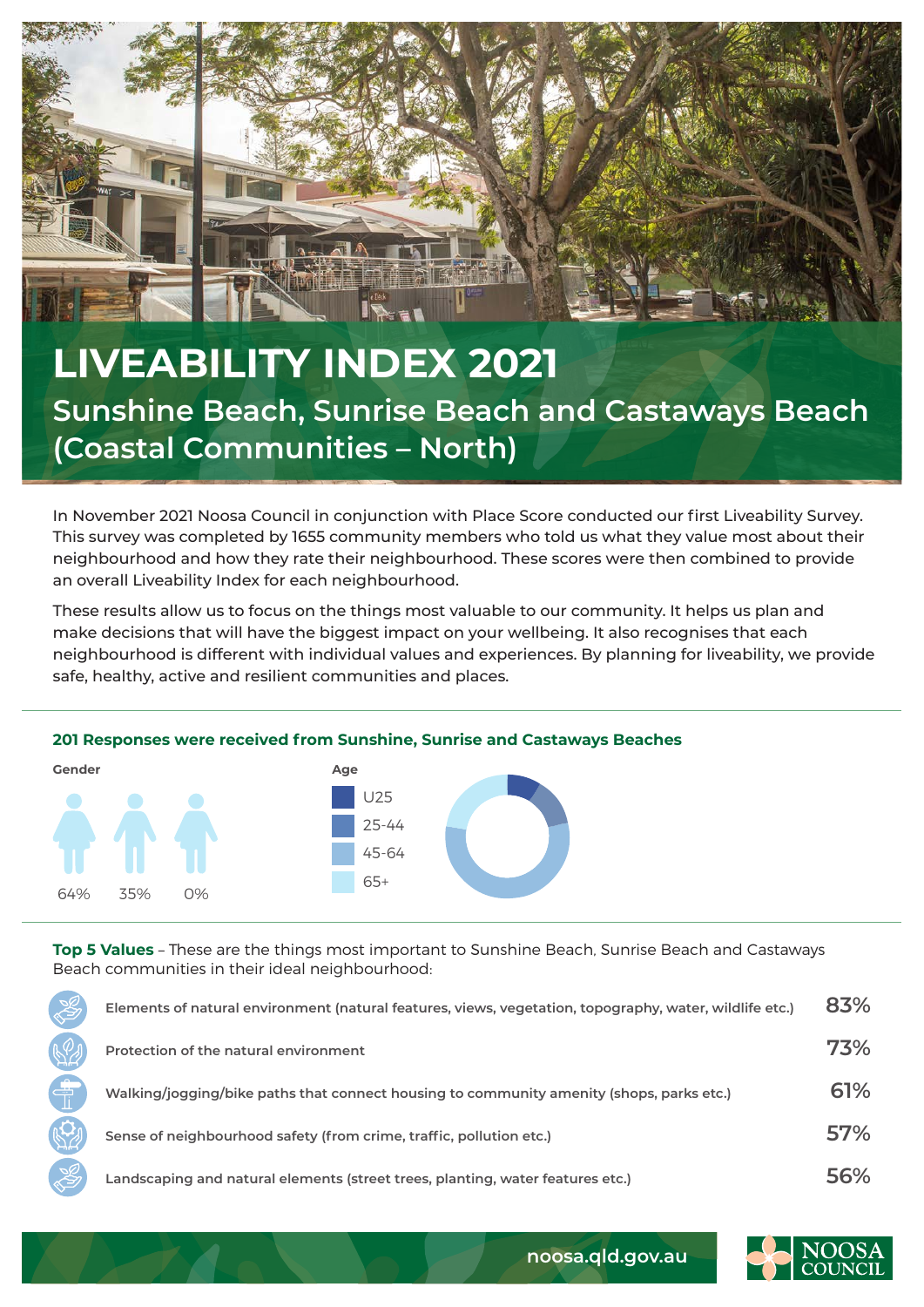

## **LIVEABILITY INDEX 2021 Sunshine Beach, Sunrise Beach and Castaways Beach (Coastal Communities – North)**

In November 2021 Noosa Council in conjunction with Place Score conducted our first Liveability Survey. This survey was completed by 1655 community members who told us what they value most about their neighbourhood and how they rate their neighbourhood. These scores were then combined to provide an overall Liveability Index for each neighbourhood.

These results allow us to focus on the things most valuable to our community. It helps us plan and make decisions that will have the biggest impact on your wellbeing. It also recognises that each neighbourhood is different with individual values and experiences. By planning for liveability, we provide safe, healthy, active and resilient communities and places.

## **201 Responses were received from Sunshine, Sunrise and Castaways Beaches**



**Top 5 Values** – These are the things most important to Sunshine Beach, Sunrise Beach and Castaways Beach communities in their ideal neighbourhood:

| Elements of natural environment (natural features, views, vegetation, topography, water, wildlife etc.) | 83% |
|---------------------------------------------------------------------------------------------------------|-----|
| Protection of the natural environment                                                                   | 73% |
| Walking/jogging/bike paths that connect housing to community amenity (shops, parks etc.)                | 61% |
| Sense of neighbourhood safety (from crime, traffic, pollution etc.)                                     | 57% |
| Landscaping and natural elements (street trees, planting, water features etc.)                          | 56% |



**noosa.qld.gov.au**